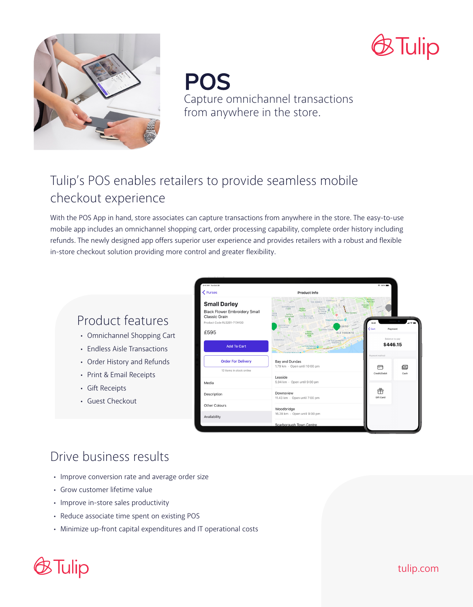



**POS** Capture omnichannel transactions from anywhere in the store.

# Tulip's POS enables retailers to provide seamless mobile checkout experience

With the POS App in hand, store associates can capture transactions from anywhere in the store. The easy-to-use mobile app includes an omnichannel shopping cart, order processing capability, complete order history including refunds. The newly designed app offers superior user experience and provides retailers with a robust and flexible in-store checkout solution providing more control and greater flexibility.

## Product features

- Omnichannel Shopping Cart
- Endless Aisle Transactions
- Order History and Refunds
- Print & Email Receipts
- Gift Receipts
- Guest Checkout



# Drive business results

- Improve conversion rate and average order size
- Grow customer lifetime value
- Improve in-store sales productivity
- Reduce associate time spent on existing POS
- Minimize up-front capital expenditures and IT operational costs

# 3 Tulip

tulip.com